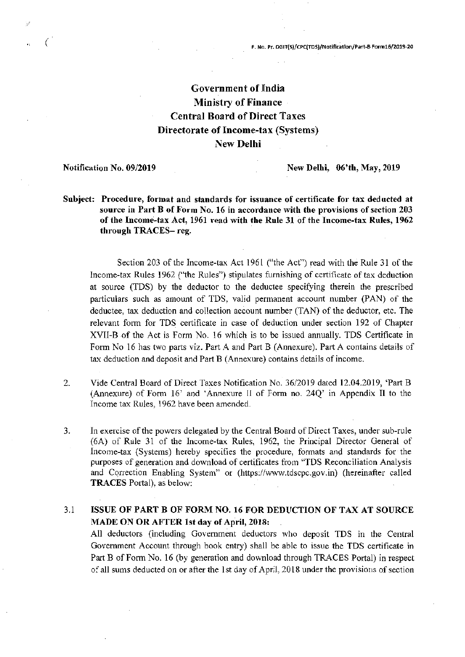# Government of India Ministry of Finance Central Board of Direct Taxes Directorate of Income-tax (Systems) New Delhi

#### Notification No. 09/2019

 $($ 

New Delhi, 06'th, May, 2019

Subject: Procedure, format and standards for issuance of certificate for tax deducted at source in Part B of Form No. 16 in accordance with the provisions of section 203 of the Income-tax Act, 1961 read with the Rule 31 of the Income-tax Rules, 1962 through TRACES- reg.

Section 203 of the Income-tax Act 1961 ("the Act") read with the Rule 31 of the Income-tax Rules 1962 ("the Rules") stipulates furnishing of certificate of tax deduction at source (TDS) by the deductor to the deductee specifying therein the prescribed particulars such as amount of TDS, valid permanent account number (PAN) of the deductee, tax deduction and collection account number (TAN) of the deductor, etc. The relevant form for TDS certificate in case of deduction under section 192 of Chapter XVII-Bof the Act is Form No. 16 which is to be issued annually. TDS Certificate in Form No 16 has two parts viz. Part A and Part B (Annexure). Part A contains details of tax deduction and deposit and Part B (Annexure) contains details of income.

- 2. Vide Central Board of Direct Taxes Notification No. *36/2019* dated 12.04.2019, 'Part B (Annexure) of Form 16' and 'Annexure II of Form no. 24Q' in Appendix II to the Income tax Rules, 1962 have been amended.
- 3. In exercise of the powers delegated by the Central BoardofDirect Taxes, under sub-rule (6A) of Rule 31 of the Income-tax Rules, 1962, the Principal Director General of Income-tax (Systems) hereby specifies the procedure, formats and standards for the purposes of generation and download of certificates from "TDS Reconciliation Analysis and Correction Enabling System" or (https://www.tdscpc.gov.in) (hereinafter called TRACES Portal), as below:

## 3.1 ISSUE OF PART B OF FORM NO. 16 FOR DEDUCTION OF TAX AT SOURCE MADE ON OR AFTER 1st day of April, 2018:

All deductors (including Government deductors who deposit TDS in the Central Government Account through book entry) shall be able to issue the TDS certificate in Part B of Form No. 16 (by generation and download through TRACES Portal) in respect of all sums deducted on or after the 1 st day of April, 2018 under the provisions of section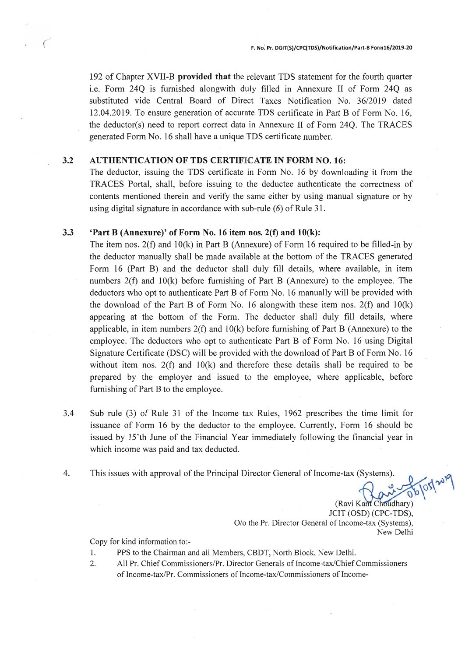192 of Chapter XVII-B provided that the relevant TDS statement for the fourth quarter i.e. Form 24Q is furnished alongwith duly filled in Annexure II of Form 24Q as substituted vide Central Board of Direct Taxes Notification No. *36/2019* dated 12.04.2019. To ensure generation of accurate TDS certificate in Part B of Form No. 16, the deductor(s) need to report correct data in Annexure II of Form 24Q. The TRACES generated Form No. 16 shall have a unique TDS certificate number.

### 3.2 AUTHENTICATION OF TDS CERTIFICATE IN FORM NO. 16:

The deductor, issuing the TDS certificate in Form No. 16 by downloading it from the TRACES Portal, shall, before issuing to the deductee authenticate the correctness of contents mentioned therein and verify the same either by using manual signature or by using digital signature in accordance with sub-rule (6) of Rule 31.

### 3.3 'Part B (Annexure)' of Form No. 16 item nos.  $2(f)$  and  $10(k)$ :

The item nos.  $2(f)$  and  $10(k)$  in Part B (Annexure) of Form 16 required to be filled-in by the deductor manually shall be made available at the bottom of the TRACES generated Form 16 (Part B) and the deductor shall duly fill details, where available, in item numbers  $2(f)$  and  $10(k)$  before furnishing of Part B (Annexure) to the employee. The deductors who opt to authenticate Part B of Form No. 16 manually will be provided with the download of the Part B of Form No. 16 alongwith these item nos.  $2(f)$  and  $10(k)$ appearing at the bottom of the Form. The deductor shall duly fill details, where applicable, in item numbers  $2(f)$  and  $10(k)$  before furnishing of Part B (Annexure) to the employee. The deductors who opt to authenticate Part B of Form No. 16 using Digital Signature Certificate (DSC) will be provided with the download of Part B of Form No. 16 without item nos.  $2(f)$  and  $10(k)$  and therefore these details shall be required to be prepared by the employer and issued to the employee, where applicable, before furnishing of Part B to the employee.

- 3.4 Sub rule (3) of Rule 31 of the Income tax Rules, 1962 prescribes the time limit for issuance of Form 16 by the deductor to the employee. Currently, Form 16 should be issued by 15'th June of the Financial Year immediately following the financial year in which income was paid and tax deducted.
- 4. This issues with approval of the Principal Director General of Income-tax (Systems).

(Ravi Kant Choudhary) JCIT (OSD) (CPC-TDS), O/o the Pr. Director General of Income-tax (Systems), New Delhi

Copy for kind information to:-

- 1. PPS to the Chairman and all Members, CBDT, North Block, New Delhi.
- 2. All Pr. Chief Commissioners/Pr. Director Generals of Income-tax/Chief Commissioners of Income-taxIPr. Commissioners of Income-tax/Commissioners of Income-